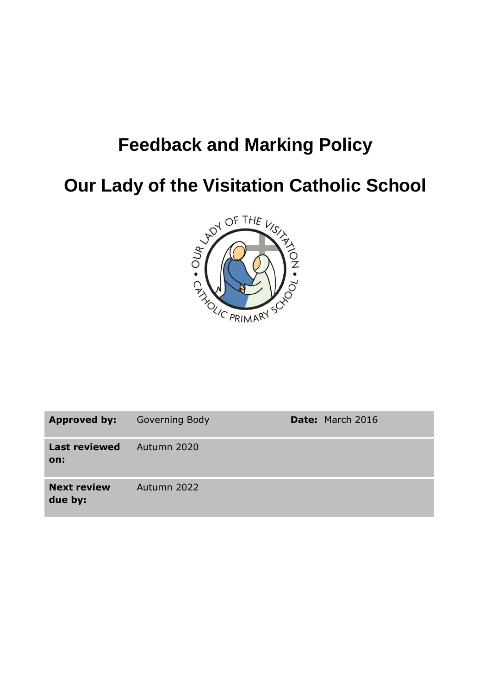# **Feedback and Marking Policy**

**Our Lady of the Visitation Catholic School**



| Approved by:                  | <b>Governing Body</b> | <b>Date: March 2016</b> |
|-------------------------------|-----------------------|-------------------------|
| <b>Last reviewed</b><br>on:   | 4. Autumn 2020        |                         |
| <b>Next review</b><br>due by: | Autumn 2022           |                         |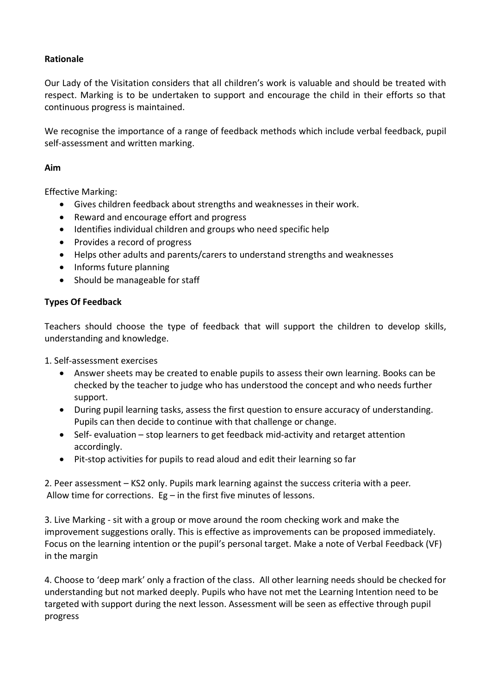# **Rationale**

Our Lady of the Visitation considers that all children's work is valuable and should be treated with respect. Marking is to be undertaken to support and encourage the child in their efforts so that continuous progress is maintained.

We recognise the importance of a range of feedback methods which include verbal feedback, pupil self-assessment and written marking.

### **Aim**

Effective Marking:

- Gives children feedback about strengths and weaknesses in their work.
- Reward and encourage effort and progress
- Identifies individual children and groups who need specific help
- Provides a record of progress
- Helps other adults and parents/carers to understand strengths and weaknesses
- Informs future planning
- Should be manageable for staff

# **Types Of Feedback**

Teachers should choose the type of feedback that will support the children to develop skills, understanding and knowledge.

1. Self-assessment exercises

- Answer sheets may be created to enable pupils to assess their own learning. Books can be checked by the teacher to judge who has understood the concept and who needs further support.
- During pupil learning tasks, assess the first question to ensure accuracy of understanding. Pupils can then decide to continue with that challenge or change.
- Self- evaluation stop learners to get feedback mid-activity and retarget attention accordingly.
- Pit-stop activities for pupils to read aloud and edit their learning so far

2. Peer assessment – KS2 only. Pupils mark learning against the success criteria with a peer*.* Allow time for corrections.  $Eg$  – in the first five minutes of lessons.

3. Live Marking - sit with a group or move around the room checking work and make the improvement suggestions orally. This is effective as improvements can be proposed immediately. Focus on the learning intention or the pupil's personal target. Make a note of Verbal Feedback (VF) in the margin

4. Choose to 'deep mark' only a fraction of the class. All other learning needs should be checked for understanding but not marked deeply. Pupils who have not met the Learning Intention need to be targeted with support during the next lesson. Assessment will be seen as effective through pupil progress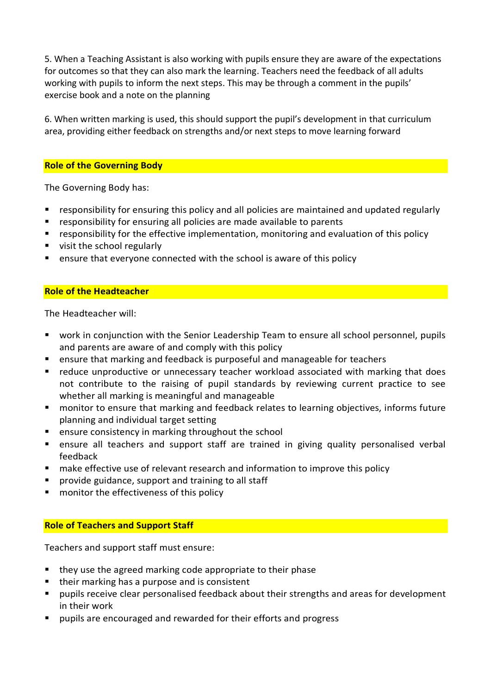5. When a Teaching Assistant is also working with pupils ensure they are aware of the expectations for outcomes so that they can also mark the learning. Teachers need the feedback of all adults working with pupils to inform the next steps. This may be through a comment in the pupils' exercise book and a note on the planning

6. When written marking is used, this should support the pupil's development in that curriculum area, providing either feedback on strengths and/or next steps to move learning forward

#### **Role of the Governing Body**

The Governing Body has:

- responsibility for ensuring this policy and all policies are maintained and updated regularly
- responsibility for ensuring all policies are made available to parents
- responsibility for the effective implementation, monitoring and evaluation of this policy
- visit the school regularly
- **E** ensure that everyone connected with the school is aware of this policy

#### **Role of the Headteacher**

The Headteacher will:

- work in conjunction with the Senior Leadership Team to ensure all school personnel, pupils and parents are aware of and comply with this policy
- ensure that marking and feedback is purposeful and manageable for teachers
- reduce unproductive or unnecessary teacher workload associated with marking that does not contribute to the raising of pupil standards by reviewing current practice to see whether all marking is meaningful and manageable
- monitor to ensure that marking and feedback relates to learning objectives, informs future planning and individual target setting
- **E** ensure consistency in marking throughout the school
- ensure all teachers and support staff are trained in giving quality personalised verbal feedback
- **nake effective use of relevant research and information to improve this policy**
- provide guidance, support and training to all staff
- monitor the effectiveness of this policy

#### **Role of Teachers and Support Staff**

Teachers and support staff must ensure:

- they use the agreed marking code appropriate to their phase
- their marking has a purpose and is consistent
- pupils receive clear personalised feedback about their strengths and areas for development in their work
- pupils are encouraged and rewarded for their efforts and progress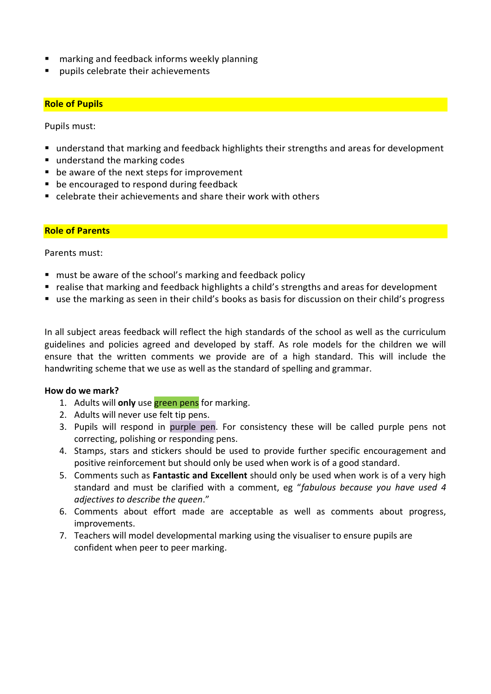- marking and feedback informs weekly planning
- pupils celebrate their achievements

## **Role of Pupils**

Pupils must:

- understand that marking and feedback highlights their strengths and areas for development
- understand the marking codes
- be aware of the next steps for improvement
- **be encouraged to respond during feedback**
- celebrate their achievements and share their work with others

#### **Role of Parents**

Parents must:

- **n** must be aware of the school's marking and feedback policy
- realise that marking and feedback highlights a child's strengths and areas for development
- use the marking as seen in their child's books as basis for discussion on their child's progress

In all subject areas feedback will reflect the high standards of the school as well as the curriculum guidelines and policies agreed and developed by staff. As role models for the children we will ensure that the written comments we provide are of a high standard. This will include the handwriting scheme that we use as well as the standard of spelling and grammar.

#### **How do we mark?**

- 1. Adults will **only** use green pens for marking.
- 2. Adults will never use felt tip pens.
- 3. Pupils will respond in purple pen. For consistency these will be called purple pens not correcting, polishing or responding pens.
- 4. Stamps, stars and stickers should be used to provide further specific encouragement and positive reinforcement but should only be used when work is of a good standard.
- 5. Comments such as **Fantastic and Excellent** should only be used when work is of a very high standard and must be clarified with a comment, eg "*fabulous because you have used 4 adjectives to describe the queen*."
- 6. Comments about effort made are acceptable as well as comments about progress, improvements.
- 7. Teachers will model developmental marking using the visualiser to ensure pupils are confident when peer to peer marking.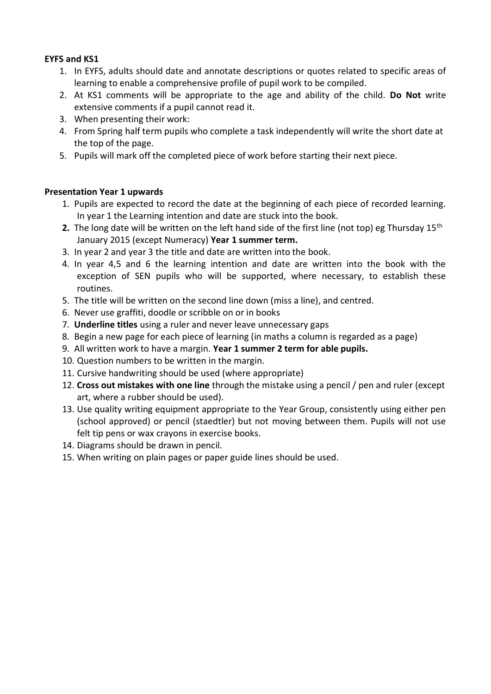# **EYFS and KS1**

- 1. In EYFS, adults should date and annotate descriptions or quotes related to specific areas of learning to enable a comprehensive profile of pupil work to be compiled.
- 2. At KS1 comments will be appropriate to the age and ability of the child. **Do Not** write extensive comments if a pupil cannot read it.
- 3. When presenting their work:
- 4. From Spring half term pupils who complete a task independently will write the short date at the top of the page.
- 5. Pupils will mark off the completed piece of work before starting their next piece.

## **Presentation Year 1 upwards**

- 1. Pupils are expected to record the date at the beginning of each piece of recorded learning. In year 1 the Learning intention and date are stuck into the book.
- **2.** The long date will be written on the left hand side of the first line (not top) eg Thursday 15<sup>th</sup> January 2015 (except Numeracy) **Year 1 summer term.**
- 3. In year 2 and year 3 the title and date are written into the book.
- 4. In year 4,5 and 6 the learning intention and date are written into the book with the exception of SEN pupils who will be supported, where necessary, to establish these routines.
- 5. The title will be written on the second line down (miss a line), and centred.
- 6. Never use graffiti, doodle or scribble on or in books
- 7. **Underline titles** using a ruler and never leave unnecessary gaps
- 8. Begin a new page for each piece of learning (in maths a column is regarded as a page)
- 9. All written work to have a margin. **Year 1 summer 2 term for able pupils.**
- 10. Question numbers to be written in the margin.
- 11. Cursive handwriting should be used (where appropriate)
- 12. **Cross out mistakes with one line** through the mistake using a pencil / pen and ruler (except art, where a rubber should be used).
- 13. Use quality writing equipment appropriate to the Year Group, consistently using either pen (school approved) or pencil (staedtler) but not moving between them. Pupils will not use felt tip pens or wax crayons in exercise books.
- 14. Diagrams should be drawn in pencil.
- 15. When writing on plain pages or paper guide lines should be used.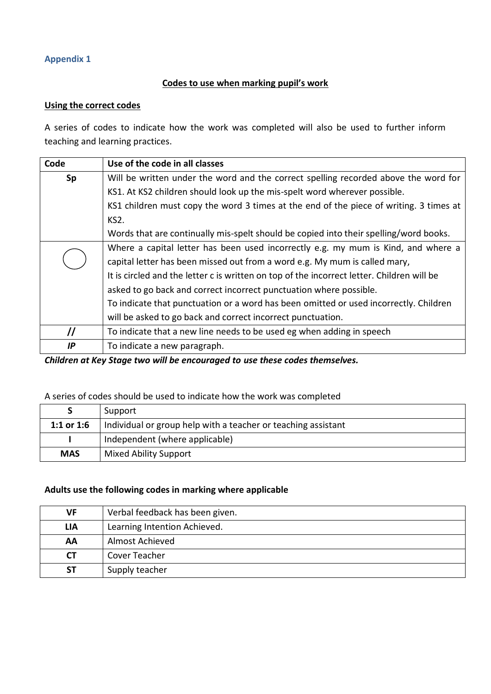# **Appendix 1**

# **Codes to use when marking pupil's work**

#### **Using the correct codes**

A series of codes to indicate how the work was completed will also be used to further inform teaching and learning practices.

| Code              | Use of the code in all classes                                                                                                                                   |  |  |
|-------------------|------------------------------------------------------------------------------------------------------------------------------------------------------------------|--|--|
| Sp                | Will be written under the word and the correct spelling recorded above the word for<br>KS1. At KS2 children should look up the mis-spelt word wherever possible. |  |  |
|                   |                                                                                                                                                                  |  |  |
|                   | KS1 children must copy the word 3 times at the end of the piece of writing. 3 times at                                                                           |  |  |
|                   | KS <sub>2</sub> .                                                                                                                                                |  |  |
|                   | Words that are continually mis-spelt should be copied into their spelling/word books.                                                                            |  |  |
|                   | Where a capital letter has been used incorrectly e.g. my mum is Kind, and where a                                                                                |  |  |
|                   | capital letter has been missed out from a word e.g. My mum is called mary,                                                                                       |  |  |
|                   | It is circled and the letter c is written on top of the incorrect letter. Children will be                                                                       |  |  |
|                   | asked to go back and correct incorrect punctuation where possible.                                                                                               |  |  |
|                   | To indicate that punctuation or a word has been omitted or used incorrectly. Children                                                                            |  |  |
|                   | will be asked to go back and correct incorrect punctuation.                                                                                                      |  |  |
| $^{\prime\prime}$ | To indicate that a new line needs to be used eg when adding in speech                                                                                            |  |  |
| IP                | To indicate a new paragraph.                                                                                                                                     |  |  |

*Children at Key Stage two will be encouraged to use these codes themselves.*

# A series of codes should be used to indicate how the work was completed

|            | Support                                                       |
|------------|---------------------------------------------------------------|
| 1:1 or 1:6 | Individual or group help with a teacher or teaching assistant |
|            | Independent (where applicable)                                |
| <b>MAS</b> | Mixed Ability Support                                         |

# **Adults use the following codes in marking where applicable**

| VF         | Verbal feedback has been given. |
|------------|---------------------------------|
| <b>LIA</b> | Learning Intention Achieved.    |
| AA         | Almost Achieved                 |
| <b>CT</b>  | Cover Teacher                   |
| <b>ST</b>  | Supply teacher                  |